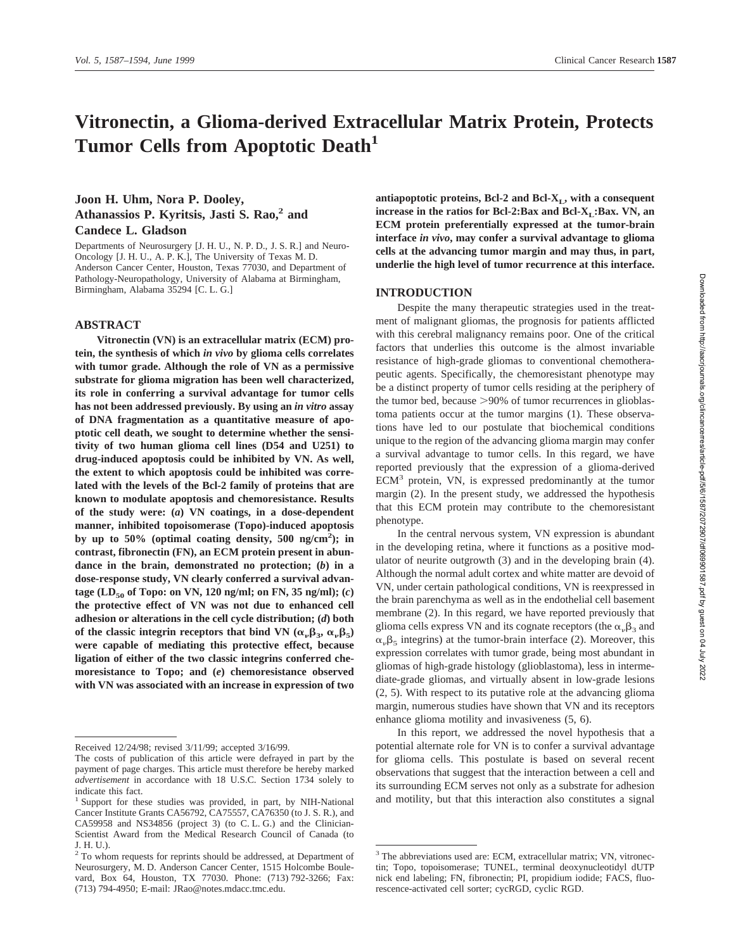# **Vitronectin, a Glioma-derived Extracellular Matrix Protein, Protects Tumor Cells from Apoptotic Death<sup>1</sup>**

# **Joon H. Uhm, Nora P. Dooley,** Athanassios P. Kyritsis, Jasti S. Rao,<sup>2</sup> and **Candece L. Gladson**

Departments of Neurosurgery [J. H. U., N. P. D., J. S. R.] and Neuro-Oncology [J. H. U., A. P. K.], The University of Texas M. D. Anderson Cancer Center, Houston, Texas 77030, and Department of Pathology-Neuropathology, University of Alabama at Birmingham, Birmingham, Alabama 35294 [C. L. G.]

#### **ABSTRACT**

**Vitronectin (VN) is an extracellular matrix (ECM) protein, the synthesis of which** *in vivo* **by glioma cells correlates with tumor grade. Although the role of VN as a permissive substrate for glioma migration has been well characterized, its role in conferring a survival advantage for tumor cells has not been addressed previously. By using an** *in vitro* **assay of DNA fragmentation as a quantitative measure of apoptotic cell death, we sought to determine whether the sensitivity of two human glioma cell lines (D54 and U251) to drug-induced apoptosis could be inhibited by VN. As well, the extent to which apoptosis could be inhibited was correlated with the levels of the Bcl-2 family of proteins that are known to modulate apoptosis and chemoresistance. Results of the study were: (***a***) VN coatings, in a dose-dependent manner, inhibited topoisomerase (Topo)-induced apoptosis by up to 50% (optimal coating density, 500 ng/cm2 ); in contrast, fibronectin (FN), an ECM protein present in abundance in the brain, demonstrated no protection; (***b***) in a dose-response study, VN clearly conferred a survival advan** $t$ age (LD<sub>50</sub> of Topo: on VN, 120 ng/ml; on FN, 35 ng/ml); (*c*) **the protective effect of VN was not due to enhanced cell adhesion or alterations in the cell cycle distribution; (***d***) both** of the classic integrin receptors that bind VN  $(\alpha_n \beta_3, \alpha_n \beta_5)$ **were capable of mediating this protective effect, because ligation of either of the two classic integrins conferred chemoresistance to Topo; and (***e***) chemoresistance observed with VN was associated with an increase in expression of two**

antiapoptotic proteins, Bcl-2 and Bcl-X<sub>L</sub>, with a consequent **increase in the ratios for Bcl-2:Bax and Bcl-X<sub>L</sub>:Bax. VN, an ECM protein preferentially expressed at the tumor-brain interface** *in vivo***, may confer a survival advantage to glioma cells at the advancing tumor margin and may thus, in part, underlie the high level of tumor recurrence at this interface.**

#### **INTRODUCTION**

Despite the many therapeutic strategies used in the treatment of malignant gliomas, the prognosis for patients afflicted with this cerebral malignancy remains poor. One of the critical factors that underlies this outcome is the almost invariable resistance of high-grade gliomas to conventional chemotherapeutic agents. Specifically, the chemoresistant phenotype may be a distinct property of tumor cells residing at the periphery of the tumor bed, because  $>90\%$  of tumor recurrences in glioblastoma patients occur at the tumor margins (1). These observations have led to our postulate that biochemical conditions unique to the region of the advancing glioma margin may confer a survival advantage to tumor cells. In this regard, we have reported previously that the expression of a glioma-derived  $ECM<sup>3</sup>$  protein, VN, is expressed predominantly at the tumor margin (2). In the present study, we addressed the hypothesis that this ECM protein may contribute to the chemoresistant phenotype.

In the central nervous system, VN expression is abundant in the developing retina, where it functions as a positive modulator of neurite outgrowth (3) and in the developing brain (4). Although the normal adult cortex and white matter are devoid of VN, under certain pathological conditions, VN is reexpressed in the brain parenchyma as well as in the endothelial cell basement membrane (2). In this regard, we have reported previously that glioma cells express VN and its cognate receptors (the  $\alpha_{\nu}\beta_3$  and  $\alpha_{\nu} \beta_5$  integrins) at the tumor-brain interface (2). Moreover, this expression correlates with tumor grade, being most abundant in gliomas of high-grade histology (glioblastoma), less in intermediate-grade gliomas, and virtually absent in low-grade lesions (2, 5). With respect to its putative role at the advancing glioma margin, numerous studies have shown that VN and its receptors enhance glioma motility and invasiveness (5, 6).

In this report, we addressed the novel hypothesis that a potential alternate role for VN is to confer a survival advantage for glioma cells. This postulate is based on several recent observations that suggest that the interaction between a cell and its surrounding ECM serves not only as a substrate for adhesion and motility, but that this interaction also constitutes a signal

Received 12/24/98; revised 3/11/99; accepted 3/16/99.

The costs of publication of this article were defrayed in part by the payment of page charges. This article must therefore be hereby marked *advertisement* in accordance with 18 U.S.C. Section 1734 solely to indicate this fact.

<sup>&</sup>lt;sup>1</sup> Support for these studies was provided, in part, by NIH-National Cancer Institute Grants CA56792, CA75557, CA76350 (to J. S. R.), and CA59958 and NS34856 (project 3) (to C. L. G.) and the Clinician-Scientist Award from the Medical Research Council of Canada (to J. H. U.).

<sup>&</sup>lt;sup>2</sup> To whom requests for reprints should be addressed, at Department of Neurosurgery, M. D. Anderson Cancer Center, 1515 Holcombe Boulevard, Box 64, Houston, TX 77030. Phone: (713) 792-3266; Fax: (713) 794-4950; E-mail: JRao@notes.mdacc.tmc.edu.

<sup>&</sup>lt;sup>3</sup> The abbreviations used are: ECM, extracellular matrix; VN, vitronectin; Topo, topoisomerase; TUNEL, terminal deoxynucleotidyl dUTP nick end labeling; FN, fibronectin; PI, propidium iodide; FACS, fluorescence-activated cell sorter; cycRGD, cyclic RGD.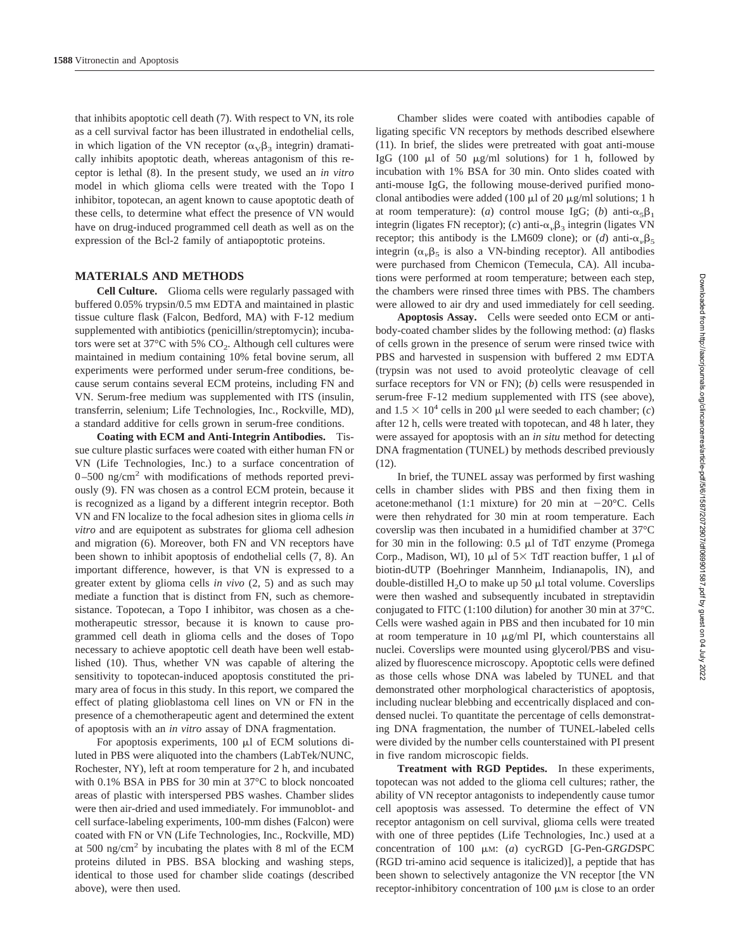that inhibits apoptotic cell death (7). With respect to VN, its role as a cell survival factor has been illustrated in endothelial cells, in which ligation of the VN receptor  $(\alpha_{V}\beta_{3})$  integrin) dramatically inhibits apoptotic death, whereas antagonism of this receptor is lethal (8). In the present study, we used an *in vitro* model in which glioma cells were treated with the Topo I inhibitor, topotecan, an agent known to cause apoptotic death of these cells, to determine what effect the presence of VN would have on drug-induced programmed cell death as well as on the expression of the Bcl-2 family of antiapoptotic proteins.

# **MATERIALS AND METHODS**

**Cell Culture.** Glioma cells were regularly passaged with buffered 0.05% trypsin/0.5 mm EDTA and maintained in plastic tissue culture flask (Falcon, Bedford, MA) with F-12 medium supplemented with antibiotics (penicillin/streptomycin); incubators were set at 37 $\mathrm{^{\circ}C}$  with 5%  $\mathrm{CO}_{2}$ . Although cell cultures were maintained in medium containing 10% fetal bovine serum, all experiments were performed under serum-free conditions, because serum contains several ECM proteins, including FN and VN. Serum-free medium was supplemented with ITS (insulin, transferrin, selenium; Life Technologies, Inc., Rockville, MD), a standard additive for cells grown in serum-free conditions.

**Coating with ECM and Anti-Integrin Antibodies.** Tissue culture plastic surfaces were coated with either human FN or VN (Life Technologies, Inc.) to a surface concentration of  $0-500$  ng/cm<sup>2</sup> with modifications of methods reported previously (9). FN was chosen as a control ECM protein, because it is recognized as a ligand by a different integrin receptor. Both VN and FN localize to the focal adhesion sites in glioma cells *in vitro* and are equipotent as substrates for glioma cell adhesion and migration (6). Moreover, both FN and VN receptors have been shown to inhibit apoptosis of endothelial cells (7, 8). An important difference, however, is that VN is expressed to a greater extent by glioma cells *in vivo* (2, 5) and as such may mediate a function that is distinct from FN, such as chemoresistance. Topotecan, a Topo I inhibitor, was chosen as a chemotherapeutic stressor, because it is known to cause programmed cell death in glioma cells and the doses of Topo necessary to achieve apoptotic cell death have been well established (10). Thus, whether VN was capable of altering the sensitivity to topotecan-induced apoptosis constituted the primary area of focus in this study. In this report, we compared the effect of plating glioblastoma cell lines on VN or FN in the presence of a chemotherapeutic agent and determined the extent of apoptosis with an *in vitro* assay of DNA fragmentation.

For apoptosis experiments,  $100 \mu l$  of ECM solutions diluted in PBS were aliquoted into the chambers (LabTek/NUNC, Rochester, NY), left at room temperature for 2 h, and incubated with 0.1% BSA in PBS for 30 min at 37°C to block noncoated areas of plastic with interspersed PBS washes. Chamber slides were then air-dried and used immediately. For immunoblot- and cell surface-labeling experiments, 100-mm dishes (Falcon) were coated with FN or VN (Life Technologies, Inc., Rockville, MD) at 500 ng/cm<sup>2</sup> by incubating the plates with 8 ml of the ECM proteins diluted in PBS. BSA blocking and washing steps, identical to those used for chamber slide coatings (described above), were then used.

Chamber slides were coated with antibodies capable of ligating specific VN receptors by methods described elsewhere (11). In brief, the slides were pretreated with goat anti-mouse IgG (100  $\mu$ l of 50  $\mu$ g/ml solutions) for 1 h, followed by incubation with 1% BSA for 30 min. Onto slides coated with anti-mouse IgG, the following mouse-derived purified monoclonal antibodies were added (100  $\mu$ l of 20  $\mu$ g/ml solutions; 1 h at room temperature): (*a*) control mouse IgG; (*b*) anti- $\alpha_5\beta_1$ integrin (ligates FN receptor); (*c*) anti- $\alpha_{\mu} \beta_3$  integrin (ligates VN receptor; this antibody is the LM609 clone); or (*d*) anti- $\alpha_{\nu}\beta_{5}$ integrin ( $\alpha_{\nu}\beta_5$  is also a VN-binding receptor). All antibodies were purchased from Chemicon (Temecula, CA). All incubations were performed at room temperature; between each step, the chambers were rinsed three times with PBS. The chambers were allowed to air dry and used immediately for cell seeding.

**Apoptosis Assay.** Cells were seeded onto ECM or antibody-coated chamber slides by the following method: (*a*) flasks of cells grown in the presence of serum were rinsed twice with PBS and harvested in suspension with buffered 2 mm EDTA (trypsin was not used to avoid proteolytic cleavage of cell surface receptors for VN or FN); (*b*) cells were resuspended in serum-free F-12 medium supplemented with ITS (see above), and  $1.5 \times 10^4$  cells in 200 µl were seeded to each chamber; (*c*) after 12 h, cells were treated with topotecan, and 48 h later, they were assayed for apoptosis with an *in situ* method for detecting DNA fragmentation (TUNEL) by methods described previously (12).

In brief, the TUNEL assay was performed by first washing cells in chamber slides with PBS and then fixing them in acetone:methanol (1:1 mixture) for 20 min at  $-20^{\circ}$ C. Cells were then rehydrated for 30 min at room temperature. Each coverslip was then incubated in a humidified chamber at 37°C for 30 min in the following:  $0.5 \mu$ l of TdT enzyme (Promega Corp., Madison, WI), 10  $\mu$ l of 5× TdT reaction buffer, 1  $\mu$ l of biotin-dUTP (Boehringer Mannheim, Indianapolis, IN), and double-distilled  $H_2O$  to make up 50  $\mu$ l total volume. Coverslips were then washed and subsequently incubated in streptavidin conjugated to FITC (1:100 dilution) for another 30 min at 37°C. Cells were washed again in PBS and then incubated for 10 min at room temperature in 10  $\mu$ g/ml PI, which counterstains all nuclei. Coverslips were mounted using glycerol/PBS and visualized by fluorescence microscopy. Apoptotic cells were defined as those cells whose DNA was labeled by TUNEL and that demonstrated other morphological characteristics of apoptosis, including nuclear blebbing and eccentrically displaced and condensed nuclei. To quantitate the percentage of cells demonstrating DNA fragmentation, the number of TUNEL-labeled cells were divided by the number cells counterstained with PI present in five random microscopic fields.

**Treatment with RGD Peptides.** In these experiments, topotecan was not added to the glioma cell cultures; rather, the ability of VN receptor antagonists to independently cause tumor cell apoptosis was assessed. To determine the effect of VN receptor antagonism on cell survival, glioma cells were treated with one of three peptides (Life Technologies, Inc.) used at a concentration of 100 mM: (*a*) cycRGD [G-Pen-G*RGD*SPC (RGD tri-amino acid sequence is italicized)], a peptide that has been shown to selectively antagonize the VN receptor [the VN receptor-inhibitory concentration of  $100 \mu$ M is close to an order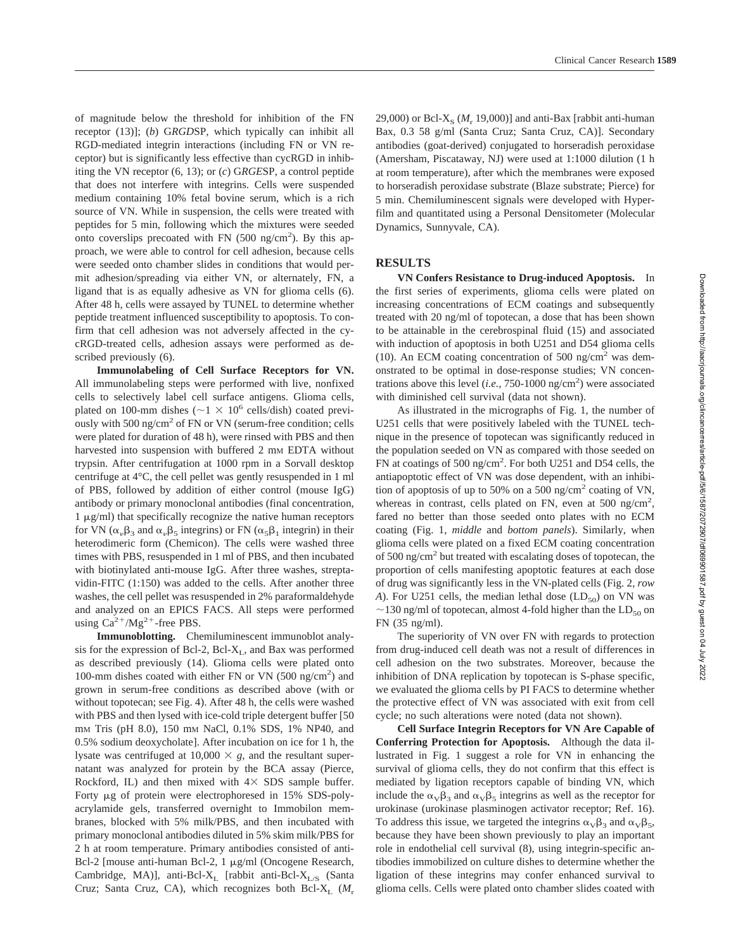of magnitude below the threshold for inhibition of the FN receptor (13)]; (*b*) G*RGD*SP, which typically can inhibit all RGD-mediated integrin interactions (including FN or VN receptor) but is significantly less effective than cycRGD in inhibiting the VN receptor (6, 13); or (*c*) G*RGE*SP, a control peptide that does not interfere with integrins. Cells were suspended medium containing 10% fetal bovine serum, which is a rich source of VN. While in suspension, the cells were treated with peptides for 5 min, following which the mixtures were seeded onto coverslips precoated with FN  $(500 \text{ ng/cm}^2)$ . By this approach, we were able to control for cell adhesion, because cells were seeded onto chamber slides in conditions that would permit adhesion/spreading via either VN, or alternately, FN, a ligand that is as equally adhesive as VN for glioma cells (6). After 48 h, cells were assayed by TUNEL to determine whether peptide treatment influenced susceptibility to apoptosis. To confirm that cell adhesion was not adversely affected in the cycRGD-treated cells, adhesion assays were performed as described previously (6).

**Immunolabeling of Cell Surface Receptors for VN.** All immunolabeling steps were performed with live, nonfixed cells to selectively label cell surface antigens. Glioma cells, plated on 100-mm dishes ( $\sim$ 1  $\times$  10<sup>6</sup> cells/dish) coated previously with 500 ng/cm<sup>2</sup> of FN or VN (serum-free condition; cells were plated for duration of 48 h), were rinsed with PBS and then harvested into suspension with buffered 2 mm EDTA without trypsin. After centrifugation at 1000 rpm in a Sorvall desktop centrifuge at 4°C, the cell pellet was gently resuspended in 1 ml of PBS, followed by addition of either control (mouse IgG) antibody or primary monoclonal antibodies (final concentration,  $1 \mu g/ml$ ) that specifically recognize the native human receptors for VN ( $\alpha_{\nu}\beta_3$  and  $\alpha_{\nu}\beta_5$  integrins) or FN ( $\alpha_5\beta_1$  integrin) in their heterodimeric form (Chemicon). The cells were washed three times with PBS, resuspended in 1 ml of PBS, and then incubated with biotinylated anti-mouse IgG. After three washes, streptavidin-FITC (1:150) was added to the cells. After another three washes, the cell pellet was resuspended in 2% paraformaldehyde and analyzed on an EPICS FACS. All steps were performed using  $Ca^{2+}/Mg^{2+}$ -free PBS.

**Immunoblotting.** Chemiluminescent immunoblot analysis for the expression of Bcl-2, Bcl- $X_L$ , and Bax was performed as described previously (14). Glioma cells were plated onto 100-mm dishes coated with either FN or VN (500 ng/cm<sup>2</sup>) and grown in serum-free conditions as described above (with or without topotecan; see Fig. 4). After 48 h, the cells were washed with PBS and then lysed with ice-cold triple detergent buffer [50 mM Tris (pH 8.0), 150 mM NaCl, 0.1% SDS, 1% NP40, and 0.5% sodium deoxycholate]. After incubation on ice for 1 h, the lysate was centrifuged at  $10,000 \times g$ , and the resultant supernatant was analyzed for protein by the BCA assay (Pierce, Rockford, IL) and then mixed with  $4 \times$  SDS sample buffer. Forty mg of protein were electrophoresed in 15% SDS-polyacrylamide gels, transferred overnight to Immobilon membranes, blocked with 5% milk/PBS, and then incubated with primary monoclonal antibodies diluted in 5% skim milk/PBS for 2 h at room temperature. Primary antibodies consisted of anti-Bcl-2 [mouse anti-human Bcl-2,  $1 \mu g/ml$  (Oncogene Research, Cambridge, MA)], anti-Bcl-X<sub>L</sub> [rabbit anti-Bcl-X<sub>L/S</sub> (Santa Cruz; Santa Cruz, CA), which recognizes both Bcl-X<sub>L</sub> ( $M_r$ 

29,000) or Bcl- $X_s$  ( $M_r$  19,000)] and anti-Bax [rabbit anti-human Bax, 0.3 58 g/ml (Santa Cruz; Santa Cruz, CA)]. Secondary antibodies (goat-derived) conjugated to horseradish peroxidase (Amersham, Piscataway, NJ) were used at 1:1000 dilution (1 h at room temperature), after which the membranes were exposed to horseradish peroxidase substrate (Blaze substrate; Pierce) for 5 min. Chemiluminescent signals were developed with Hyperfilm and quantitated using a Personal Densitometer (Molecular Dynamics, Sunnyvale, CA).

# **RESULTS**

**VN Confers Resistance to Drug-induced Apoptosis.** In the first series of experiments, glioma cells were plated on increasing concentrations of ECM coatings and subsequently treated with 20 ng/ml of topotecan, a dose that has been shown to be attainable in the cerebrospinal fluid (15) and associated with induction of apoptosis in both U251 and D54 glioma cells (10). An ECM coating concentration of 500 ng/cm<sup>2</sup> was demonstrated to be optimal in dose-response studies; VN concentrations above this level (*i.e.*,  $750-1000$  ng/cm<sup>2</sup>) were associated with diminished cell survival (data not shown).

As illustrated in the micrographs of Fig. 1, the number of U251 cells that were positively labeled with the TUNEL technique in the presence of topotecan was significantly reduced in the population seeded on VN as compared with those seeded on FN at coatings of 500 ng/cm<sup>2</sup>. For both U251 and D54 cells, the antiapoptotic effect of VN was dose dependent, with an inhibition of apoptosis of up to 50% on a 500 ng/cm<sup>2</sup> coating of VN, whereas in contrast, cells plated on FN, even at 500 ng/cm<sup>2</sup>, fared no better than those seeded onto plates with no ECM coating (Fig. 1, *middle* and *bottom panels*). Similarly, when glioma cells were plated on a fixed ECM coating concentration of 500 ng/cm<sup>2</sup> but treated with escalating doses of topotecan, the proportion of cells manifesting apoptotic features at each dose of drug was significantly less in the VN-plated cells (Fig. 2, *row A*). For U251 cells, the median lethal dose  $(LD_{50})$  on VN was  $\sim$ 130 ng/ml of topotecan, almost 4-fold higher than the LD<sub>50</sub> on FN (35 ng/ml).

The superiority of VN over FN with regards to protection from drug-induced cell death was not a result of differences in cell adhesion on the two substrates. Moreover, because the inhibition of DNA replication by topotecan is S-phase specific, we evaluated the glioma cells by PI FACS to determine whether the protective effect of VN was associated with exit from cell cycle; no such alterations were noted (data not shown).

**Cell Surface Integrin Receptors for VN Are Capable of Conferring Protection for Apoptosis.** Although the data illustrated in Fig. 1 suggest a role for VN in enhancing the survival of glioma cells, they do not confirm that this effect is mediated by ligation receptors capable of binding VN, which include the  $\alpha_{\rm V}\beta_3$  and  $\alpha_{\rm V}\beta_5$  integrins as well as the receptor for urokinase (urokinase plasminogen activator receptor; Ref. 16). To address this issue, we targeted the integrins  $\alpha_{\rm v}\beta_3$  and  $\alpha_{\rm v}\beta_5$ , because they have been shown previously to play an important role in endothelial cell survival (8), using integrin-specific antibodies immobilized on culture dishes to determine whether the ligation of these integrins may confer enhanced survival to glioma cells. Cells were plated onto chamber slides coated with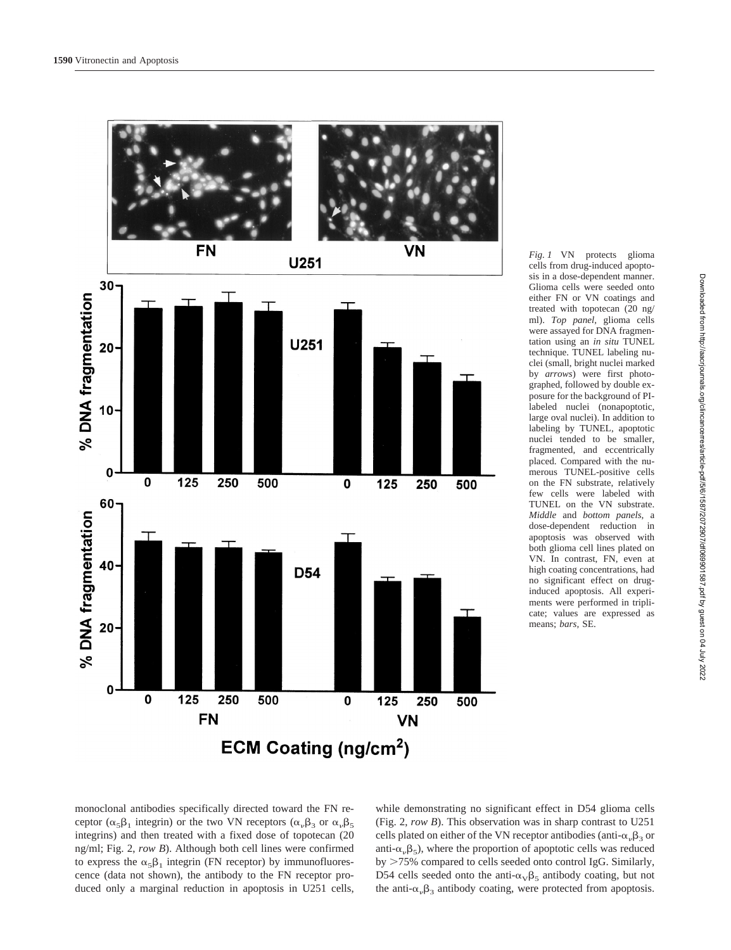

*Fig. 1* VN protects glioma cells from drug-induced apoptosis in a dose-dependent manner. Glioma cells were seeded onto either FN or VN coatings and treated with topotecan (20 ng/ ml). *Top panel,* glioma cells were assayed for DNA fragmentation using an *in situ* TUNEL technique. TUNEL labeling nuclei (small, bright nuclei marked by *arrows*) were first photographed, followed by double exposure for the background of PIlabeled nuclei (nonapoptotic, large oval nuclei). In addition to labeling by TUNEL, apoptotic nuclei tended to be smaller, fragmented, and eccentrically placed. Compared with the numerous TUNEL-positive cells on the FN substrate, relatively few cells were labeled with TUNEL on the VN substrate. *Middle* and *bottom panels,* a dose-dependent reduction in apoptosis was observed with both glioma cell lines plated on VN. In contrast, FN, even at high coating concentrations, had no significant effect on druginduced apoptosis. All experiments were performed in triplicate; values are expressed as means; *bars,* SE.

monoclonal antibodies specifically directed toward the FN receptor ( $\alpha_5\beta_1$  integrin) or the two VN receptors ( $\alpha_\nu\beta_3$  or  $\alpha_\nu\beta_5$ integrins) and then treated with a fixed dose of topotecan (20 ng/ml; Fig. 2, *row B*). Although both cell lines were confirmed to express the  $\alpha_5\beta_1$  integrin (FN receptor) by immunofluorescence (data not shown), the antibody to the FN receptor produced only a marginal reduction in apoptosis in U251 cells,

while demonstrating no significant effect in D54 glioma cells (Fig. 2, *row B*). This observation was in sharp contrast to U251 cells plated on either of the VN receptor antibodies (anti- $\alpha_{\nu}\beta_3$  or anti- $\alpha_n\beta_5$ ), where the proportion of apoptotic cells was reduced by  $>75\%$  compared to cells seeded onto control IgG. Similarly, D54 cells seeded onto the anti- $\alpha_V\beta_5$  antibody coating, but not the anti- $\alpha_{\nu}\beta_3$  antibody coating, were protected from apoptosis.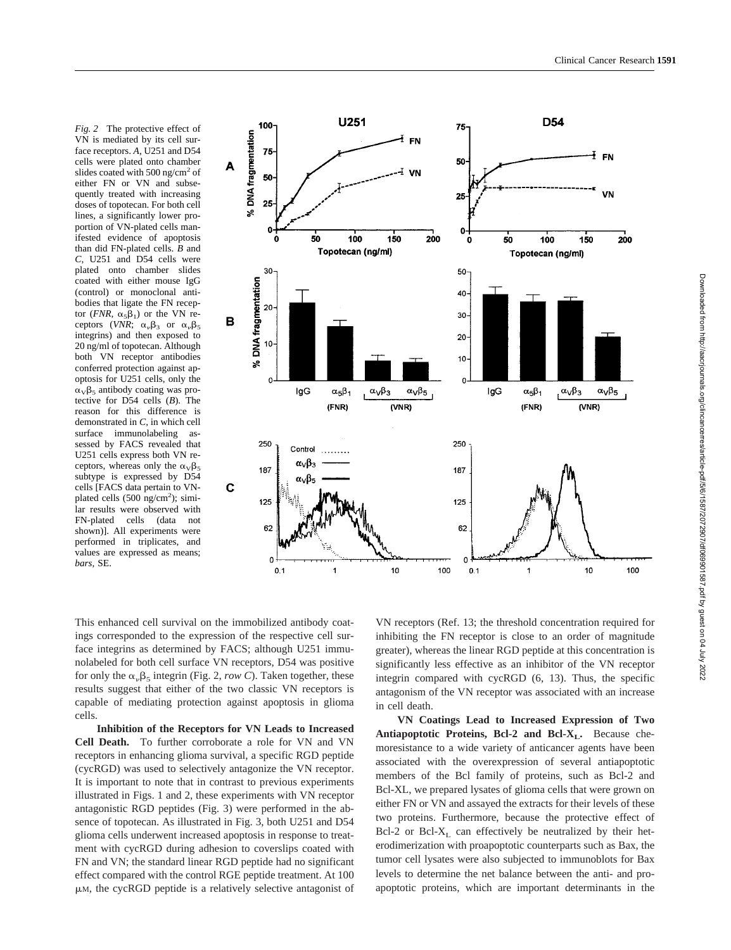*Fig. 2* The protective effect of VN is mediated by its cell surface receptors. *A,* U251 and D54 cells were plated onto chamber slides coated with 500 ng/cm<sup>2</sup> of either FN or VN and subsequently treated with increasing doses of topotecan. For both cell lines, a significantly lower proportion of VN-plated cells manifested evidence of apoptosis than did FN-plated cells. *B* and *C,* U251 and D54 cells were plated onto chamber slides coated with either mouse IgG (control) or monoclonal antibodies that ligate the FN receptor (*FNR*,  $\alpha_5\beta_1$ ) or the VN receptors (*VNR*;  $\alpha_{\nu}\beta_3$  or  $\alpha_{\nu}\beta_5$ integrins) and then exposed to 20 ng/ml of topotecan. Although both VN receptor antibodies conferred protection against apoptosis for U251 cells, only the  $\alpha_V\beta_5$  antibody coating was protective for D54 cells (*B*). The reason for this difference is demonstrated in *C,* in which cell surface immunolabeling assessed by FACS revealed that U251 cells express both VN receptors, whereas only the  $\alpha_{\rm V}\beta_5$ subtype is expressed by D54 cells [FACS data pertain to VNplated cells (500 ng/cm<sup>2</sup>); similar results were observed with FN-plated cells (data not shown)]. All experiments were performed in triplicates, and values are expressed as means; *bars,* SE.



This enhanced cell survival on the immobilized antibody coatings corresponded to the expression of the respective cell surface integrins as determined by FACS; although U251 immunolabeled for both cell surface VN receptors, D54 was positive for only the  $\alpha_{\nu} \beta_5$  integrin (Fig. 2, *row C*). Taken together, these results suggest that either of the two classic VN receptors is capable of mediating protection against apoptosis in glioma cells.

**Inhibition of the Receptors for VN Leads to Increased Cell Death.** To further corroborate a role for VN and VN receptors in enhancing glioma survival, a specific RGD peptide (cycRGD) was used to selectively antagonize the VN receptor. It is important to note that in contrast to previous experiments illustrated in Figs. 1 and 2, these experiments with VN receptor antagonistic RGD peptides (Fig. 3) were performed in the absence of topotecan. As illustrated in Fig. 3, both U251 and D54 glioma cells underwent increased apoptosis in response to treatment with cycRGD during adhesion to coverslips coated with FN and VN; the standard linear RGD peptide had no significant effect compared with the control RGE peptide treatment. At 100  $\mu$ M, the cycRGD peptide is a relatively selective antagonist of

VN receptors (Ref. 13; the threshold concentration required for inhibiting the FN receptor is close to an order of magnitude greater), whereas the linear RGD peptide at this concentration is significantly less effective as an inhibitor of the VN receptor integrin compared with cycRGD (6, 13). Thus, the specific antagonism of the VN receptor was associated with an increase in cell death.

**VN Coatings Lead to Increased Expression of Two Antiapoptotic Proteins, Bcl-2 and Bcl-** $X_L$ **.** Because chemoresistance to a wide variety of anticancer agents have been associated with the overexpression of several antiapoptotic members of the Bcl family of proteins, such as Bcl-2 and Bcl-XL, we prepared lysates of glioma cells that were grown on either FN or VN and assayed the extracts for their levels of these two proteins. Furthermore, because the protective effect of Bcl-2 or Bcl- $X_L$  can effectively be neutralized by their heterodimerization with proapoptotic counterparts such as Bax, the tumor cell lysates were also subjected to immunoblots for Bax levels to determine the net balance between the anti- and proapoptotic proteins, which are important determinants in the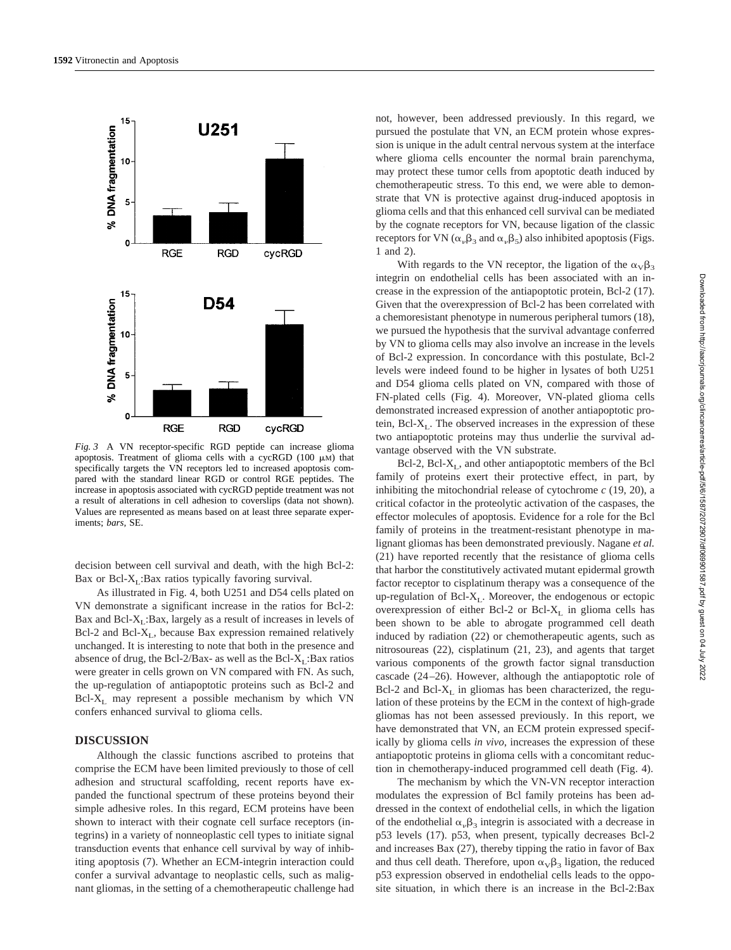

*Fig. 3* A VN receptor-specific RGD peptide can increase glioma apoptosis. Treatment of glioma cells with a cycRGD (100  $\mu$ M) that specifically targets the VN receptors led to increased apoptosis compared with the standard linear RGD or control RGE peptides. The increase in apoptosis associated with cycRGD peptide treatment was not a result of alterations in cell adhesion to coverslips (data not shown). Values are represented as means based on at least three separate experiments; *bars,* SE.

decision between cell survival and death, with the high Bcl-2: Bax or Bcl- $X<sub>L</sub>$ :Bax ratios typically favoring survival.

As illustrated in Fig. 4, both U251 and D54 cells plated on VN demonstrate a significant increase in the ratios for Bcl-2: Bax and Bcl- $X_L$ :Bax, largely as a result of increases in levels of Bcl-2 and Bcl- $X_L$ , because Bax expression remained relatively unchanged. It is interesting to note that both in the presence and absence of drug, the Bcl-2/Bax- as well as the Bcl- $X_L$ :Bax ratios were greater in cells grown on VN compared with FN. As such, the up-regulation of antiapoptotic proteins such as Bcl-2 and  $Bcl-X<sub>L</sub>$  may represent a possible mechanism by which VN confers enhanced survival to glioma cells.

## **DISCUSSION**

Although the classic functions ascribed to proteins that comprise the ECM have been limited previously to those of cell adhesion and structural scaffolding, recent reports have expanded the functional spectrum of these proteins beyond their simple adhesive roles. In this regard, ECM proteins have been shown to interact with their cognate cell surface receptors (integrins) in a variety of nonneoplastic cell types to initiate signal transduction events that enhance cell survival by way of inhibiting apoptosis (7). Whether an ECM-integrin interaction could confer a survival advantage to neoplastic cells, such as malignant gliomas, in the setting of a chemotherapeutic challenge had

not, however, been addressed previously. In this regard, we pursued the postulate that VN, an ECM protein whose expression is unique in the adult central nervous system at the interface where glioma cells encounter the normal brain parenchyma, may protect these tumor cells from apoptotic death induced by chemotherapeutic stress. To this end, we were able to demonstrate that VN is protective against drug-induced apoptosis in glioma cells and that this enhanced cell survival can be mediated by the cognate receptors for VN, because ligation of the classic receptors for VN ( $\alpha_{\nu}\beta_3$  and  $\alpha_{\nu}\beta_5$ ) also inhibited apoptosis (Figs. 1 and 2).

With regards to the VN receptor, the ligation of the  $\alpha_{\rm V}\beta_3$ integrin on endothelial cells has been associated with an increase in the expression of the antiapoptotic protein, Bcl-2 (17). Given that the overexpression of Bcl-2 has been correlated with a chemoresistant phenotype in numerous peripheral tumors (18), we pursued the hypothesis that the survival advantage conferred by VN to glioma cells may also involve an increase in the levels of Bcl-2 expression. In concordance with this postulate, Bcl-2 levels were indeed found to be higher in lysates of both U251 and D54 glioma cells plated on VN, compared with those of FN-plated cells (Fig. 4). Moreover, VN-plated glioma cells demonstrated increased expression of another antiapoptotic protein, Bcl- $X_{I}$ . The observed increases in the expression of these two antiapoptotic proteins may thus underlie the survival advantage observed with the VN substrate.

Bcl-2, Bcl- $X_L$ , and other antiapoptotic members of the Bcl family of proteins exert their protective effect, in part, by inhibiting the mitochondrial release of cytochrome *c* (19, 20), a critical cofactor in the proteolytic activation of the caspases, the effector molecules of apoptosis. Evidence for a role for the Bcl family of proteins in the treatment-resistant phenotype in malignant gliomas has been demonstrated previously. Nagane *et al.* (21) have reported recently that the resistance of glioma cells that harbor the constitutively activated mutant epidermal growth factor receptor to cisplatinum therapy was a consequence of the up-regulation of  $Bcl-X<sub>L</sub>$ . Moreover, the endogenous or ectopic overexpression of either Bcl-2 or Bcl- $X_L$  in glioma cells has been shown to be able to abrogate programmed cell death induced by radiation (22) or chemotherapeutic agents, such as nitrosoureas (22), cisplatinum (21, 23), and agents that target various components of the growth factor signal transduction cascade (24–26). However, although the antiapoptotic role of Bcl-2 and Bcl- $X_L$  in gliomas has been characterized, the regulation of these proteins by the ECM in the context of high-grade gliomas has not been assessed previously. In this report, we have demonstrated that VN, an ECM protein expressed specifically by glioma cells *in vivo*, increases the expression of these antiapoptotic proteins in glioma cells with a concomitant reduction in chemotherapy-induced programmed cell death (Fig. 4).

The mechanism by which the VN-VN receptor interaction modulates the expression of Bcl family proteins has been addressed in the context of endothelial cells, in which the ligation of the endothelial  $\alpha_{\nu}\beta_3$  integrin is associated with a decrease in p53 levels (17). p53, when present, typically decreases Bcl-2 and increases Bax (27), thereby tipping the ratio in favor of Bax and thus cell death. Therefore, upon  $\alpha_{\rm v}\beta_3$  ligation, the reduced p53 expression observed in endothelial cells leads to the opposite situation, in which there is an increase in the Bcl-2:Bax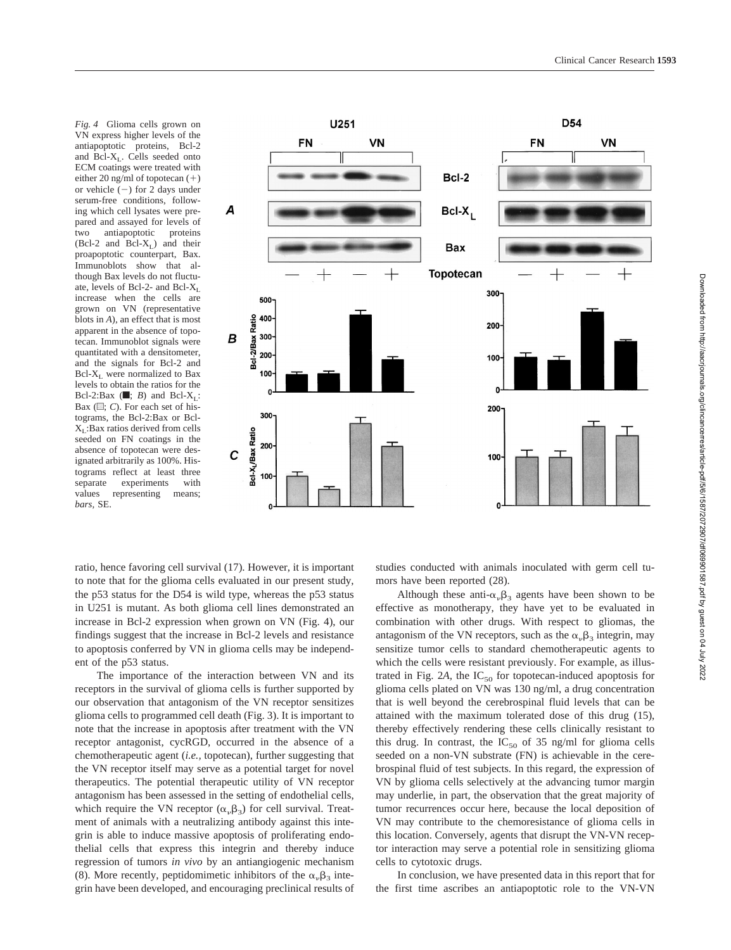*Fig. 4* Glioma cells grown on VN express higher levels of the antiapoptotic proteins, Bcl-2 and Bcl-XL. Cells seeded onto ECM coatings were treated with either 20 ng/ml of topotecan  $(+)$ or vehicle  $(-)$  for 2 days under serum-free conditions, following which cell lysates were prepared and assayed for levels of two antiapoptotic proteins  $(Bcl-2$  and  $Bcl-X<sub>L</sub>$ ) and their proapoptotic counterpart, Bax. Immunoblots show that although Bax levels do not fluctuate, levels of Bcl-2- and Bcl- $X_L$ increase when the cells are grown on VN (representative blots in *A*), an effect that is most apparent in the absence of topotecan. Immunoblot signals were quantitated with a densitometer, and the signals for Bcl-2 and  $Bcl-X<sub>L</sub>$  were normalized to Bax levels to obtain the ratios for the Bcl-2:Bax  $(\blacksquare; B)$  and Bcl-X<sub>L</sub>: Bax  $(\mathbb{Z}; C)$ . For each set of histograms, the Bcl-2:Bax or Bcl-XL:Bax ratios derived from cells seeded on FN coatings in the absence of topotecan were designated arbitrarily as 100%. Histograms reflect at least three separate experiments with values representing means; *bars,* SE.



ratio, hence favoring cell survival (17). However, it is important to note that for the glioma cells evaluated in our present study, the p53 status for the D54 is wild type, whereas the p53 status in U251 is mutant. As both glioma cell lines demonstrated an increase in Bcl-2 expression when grown on VN (Fig. 4), our findings suggest that the increase in Bcl-2 levels and resistance to apoptosis conferred by VN in glioma cells may be independent of the p53 status.

The importance of the interaction between VN and its receptors in the survival of glioma cells is further supported by our observation that antagonism of the VN receptor sensitizes glioma cells to programmed cell death (Fig. 3). It is important to note that the increase in apoptosis after treatment with the VN receptor antagonist, cycRGD, occurred in the absence of a chemotherapeutic agent (*i.e.,* topotecan), further suggesting that the VN receptor itself may serve as a potential target for novel therapeutics. The potential therapeutic utility of VN receptor antagonism has been assessed in the setting of endothelial cells, which require the VN receptor  $(\alpha_{\nu}\beta_3)$  for cell survival. Treatment of animals with a neutralizing antibody against this integrin is able to induce massive apoptosis of proliferating endothelial cells that express this integrin and thereby induce regression of tumors *in vivo* by an antiangiogenic mechanism (8). More recently, peptidomimetic inhibitors of the  $\alpha_{\nu}\beta_3$  integrin have been developed, and encouraging preclinical results of studies conducted with animals inoculated with germ cell tumors have been reported (28).

Although these anti- $\alpha_{\nu}\beta_3$  agents have been shown to be effective as monotherapy, they have yet to be evaluated in combination with other drugs. With respect to gliomas, the antagonism of the VN receptors, such as the  $\alpha_{\nu}\beta_3$  integrin, may sensitize tumor cells to standard chemotherapeutic agents to which the cells were resistant previously. For example, as illustrated in Fig. 2A, the  $IC_{50}$  for topotecan-induced apoptosis for glioma cells plated on VN was 130 ng/ml, a drug concentration that is well beyond the cerebrospinal fluid levels that can be attained with the maximum tolerated dose of this drug (15), thereby effectively rendering these cells clinically resistant to this drug. In contrast, the  $IC_{50}$  of 35 ng/ml for glioma cells seeded on a non-VN substrate (FN) is achievable in the cerebrospinal fluid of test subjects. In this regard, the expression of VN by glioma cells selectively at the advancing tumor margin may underlie, in part, the observation that the great majority of tumor recurrences occur here, because the local deposition of VN may contribute to the chemoresistance of glioma cells in this location. Conversely, agents that disrupt the VN-VN receptor interaction may serve a potential role in sensitizing glioma cells to cytotoxic drugs.

In conclusion, we have presented data in this report that for the first time ascribes an antiapoptotic role to the VN-VN